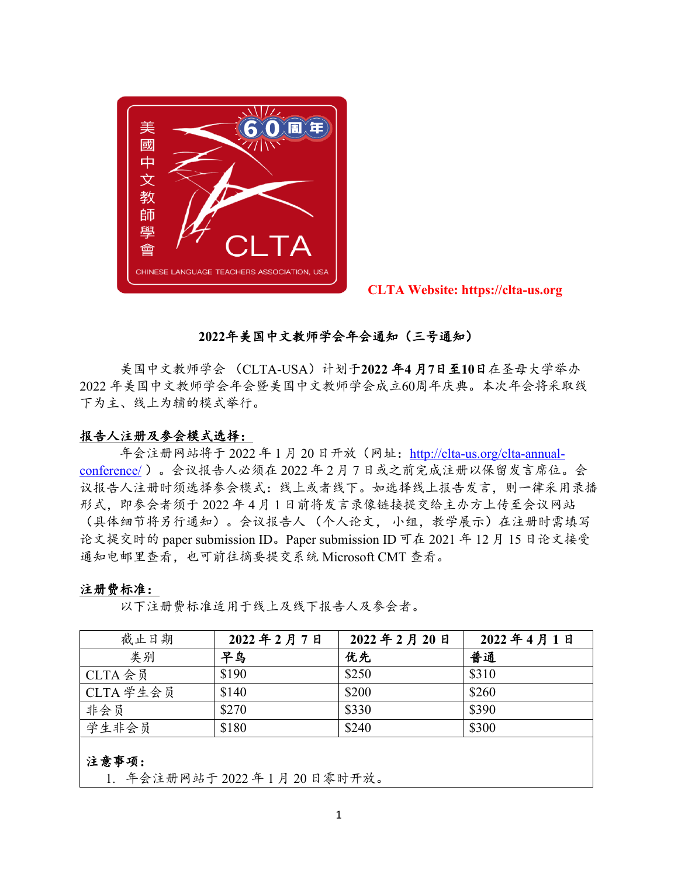

 **CLTA Website: https://clta-us.org**

# **2022**年美国中文教师学会年会通知(三号通知)

美国中文教师学会 (CLTA-USA)计划于**2022** 年**4** 月**7**日至**10**日在圣母大学举办 2022 年美国中文教师学会年会暨美国中文教师学会成立60周年庆典。本次年会将采取线 下为主、线上为辅的模式举行。

#### 报告人注册及参会模式选择:

年会注册网站将于 2022 年 1 月 20 日开放(网址:[http://clta-us.org/clta-annual](http://clta-us.org/clta-annual-conference/)[conference/](http://clta-us.org/clta-annual-conference/) )。会议报告人必须在 2022 年 2 月 7 日或之前完成注册以保留发言席位。会 议报告人注册时须选择参会模式:线上或者线下。如选择线上报告发言,则一律采用录播 形式,即参会者须于 2022 年 4 月 1 日前将发言录像链接提交给主办方上传至会议网站 (具体细节将另行通知)。会议报告人 (个人论文, 小组,教学展示)在注册时需填写 论文提交时的 paper submission ID。Paper submission ID 可在 2021 年 12 月 15 日论文接受 通知电邮里查看,也可前往摘要提交系统 Microsoft CMT 查看。

#### 注册费标准:

以下注册费标准适用于线上及线下报告人及参会者。

| 截止日期      | 2022年2月7日 | 2022年2月20日 | 2022年4月1日 |
|-----------|-----------|------------|-----------|
| 类别        | 早鸟        | 优先         | 普通        |
| CLTA 会员   | \$190     | \$250      | \$310     |
| CLTA 学生会员 | \$140     | \$200      | \$260     |
| 非会员       | \$270     | \$330      | \$390     |
| 学生非会员     | \$180     | \$240      | \$300     |
|           |           |            |           |

### 注意事项:

1. 年会注册网站于 2022 年 1 月 20 日零时开放。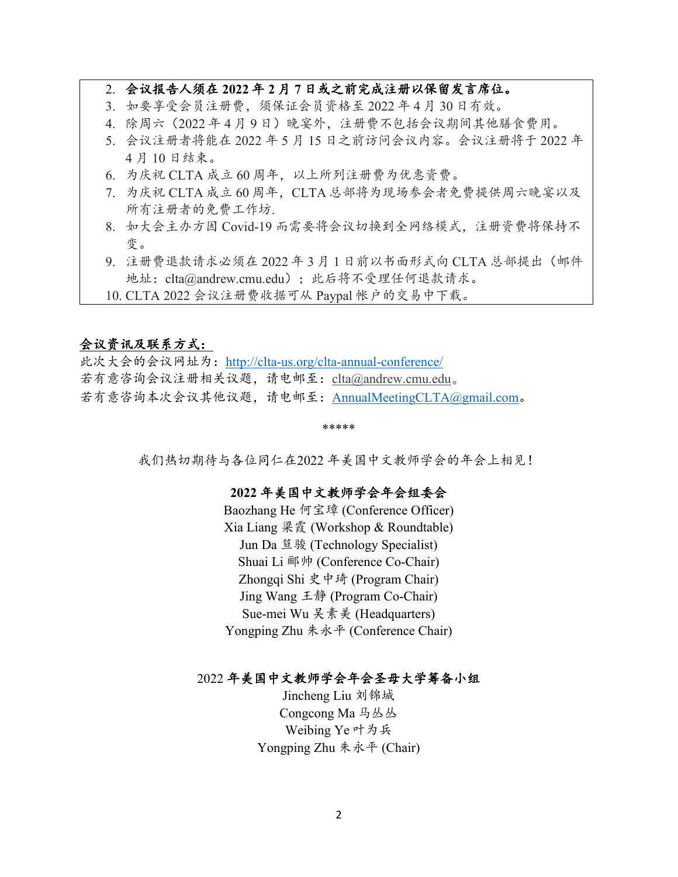## 2. 会议报告人须在 **2022** 年 **2** 月 **7** 日或之前完成注册以保留发言席位。

- 3. 如要享受会员注册费,须保证会员资格至 2022 年 4 月 30 日有效。
- 4. 除周六 (2022年4月9日)晚宴外,注册费不包括会议期间其他膳食费用。
- 5. 会议注册者将能在 2022 年 5 月 15 日之前访问会议内容。会议注册将于 2022 年 4 月 10 日结束。
- 6. 为庆祝 CLTA 成立 60 周年,以上所列注册费为优惠资费。
- 7. 为庆祝 CLTA 成立 60 周年,CLTA 总部将为现场参会者免费提供周六晚宴以及 所有注册者的免费工作坊.
- 8. 如大会主办方因 Covid-19 而需要将会议切换到全网络模式,注册资费将保持不 变。
- 9. 注册费退款请求必须在 2022 年 3 月 1 日前以书面形式向 CLTA 总部提出(邮件 地址:clta@andrew.cmu.edu);此后将不受理任何退款请求。
- 10. CLTA 2022 会议注册费收据可从 Paypal 帐户的交易中下载。

### 会议资讯及联系方式:

此次大会的会议网址为:<http://clta-us.org/clta-annual-conference/> 若有意咨询会议注册相关议题,请电邮至:[clta@andrew.cmu.edu](mailto:clta@andrew.cmu.edu)。 若有意咨询本次会议其他议题,请电邮至: [AnnualMeetingCLTA@gmail.com](mailto:AnnualMeetingCLTA@gmail.com)。

#### \*\*\*\*\*

我们热切期待与各位同仁在2022 年美国中文教师学会的年会上相见!

### **2022** 年美国中文教师学会年会组委会

Baozhang He 何宝璋 (Conference Officer) Xia Liang 梁霞 (Workshop & Roundtable) Jun Da 笪骏 (Technology Specialist) Shuai Li 郦帅 (Conference Co-Chair) Zhongqi Shi 史中琦 (Program Chair) Jing Wang 王静 (Program Co-Chair) Sue-mei Wu 吴素美 (Headquarters) Yongping Zhu 朱永平 (Conference Chair)

#### 2022 年美国中文教师学会年会圣母大学筹备小组

Jincheng Liu 刘锦城 Congcong Ma 马丛丛 Weibing Ye 叶为兵 Yongping Zhu 朱永平 (Chair)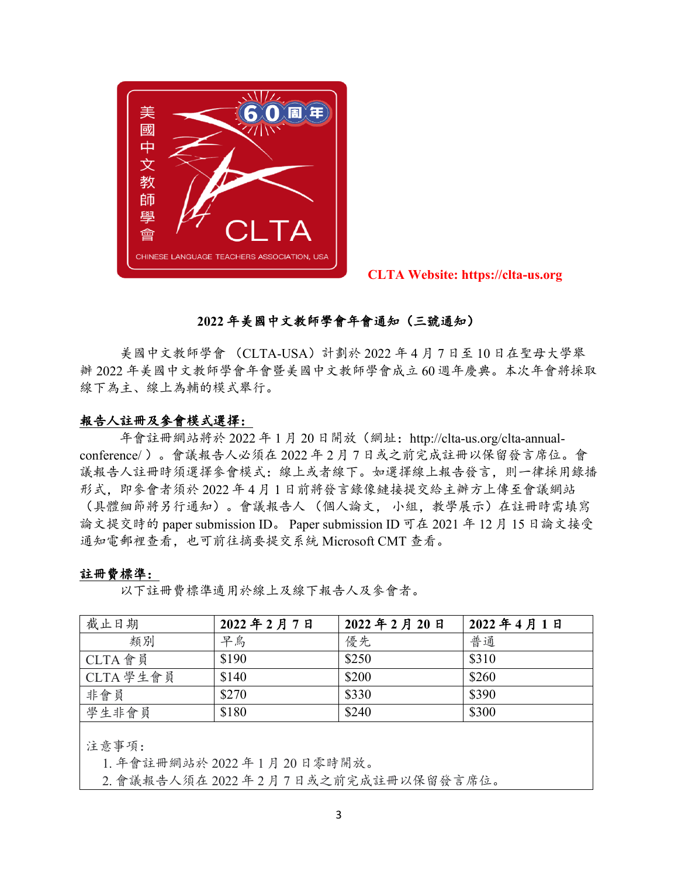

 **CLTA Website: https://clta-us.org**

## **2022** 年美國中文教師學會年會通知(三號通知)

美國中文教師學會 (CLTA-USA)計劃於 2022 年 4 月 7 日至 10 日在聖母大學舉 辦 2022 年美國中文教師學會年會暨美國中文教師學會成立 60 週年慶典。本次年會將採取 線下為主、線上為輔的模式舉行。

### 報告人註冊及參會模式選擇:

年會註冊網站將於 2022 年 1 月 20 日開放(網址:http://clta-us.org/clta-annualconference/ )。會議報告人必須在 2022 年 2 月 7 日或之前完成註冊以保留發言席位。會 議報告人註冊時須選擇參會模式:線上或者線下。如選擇線上報告發言,則一律採用錄播 形式,即參會者須於 2022 年 4 月 1 日前將發言錄像鏈接提交給主辦方上傳至會議網站 (具體細節將另行通知)。會議報告人 (個人論文, 小組,教學展示)在註冊時需填寫 論文提交時的 paper submission ID。 Paper submission ID 可在 2021 年 12 月 15 日論文接受 通知電郵裡查看,也可前往摘要提交系統 Microsoft CMT 查看。

#### 註冊費標準:

以下註冊費標準適用於線上及線下報告人及參會者。

| 截止日期      | 2022年2月7日 | 2022年2月20日 | 2022年4月1日 |
|-----------|-----------|------------|-----------|
| 類別        | 早鳥        | 優先         | 普通        |
| CLTA 會員   | \$190     | \$250      | \$310     |
| CLTA 學生會員 | \$140     | \$200      | \$260     |
| 非會員       | \$270     | \$330      | \$390     |
| 學生非會員     | \$180     | \$240      | \$300     |

注意事項:

1. 年會註冊網站於 2022 年 1 月 20 日零時開放。

2. 會議報告人須在 2022 年 2 月 7 日或之前完成註冊以保留發言席位。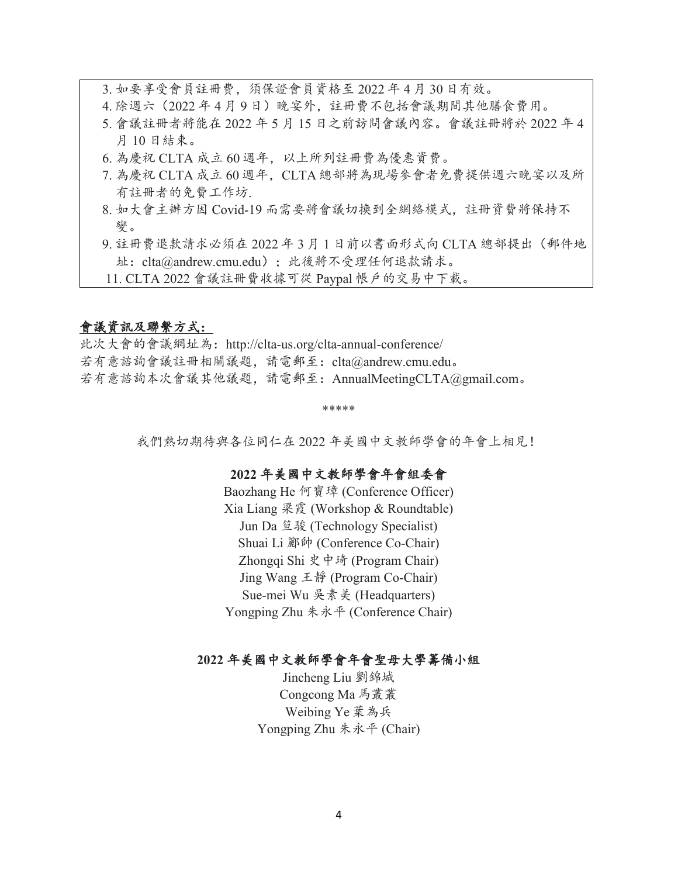3. 如要享受會員註冊費,須保證會員資格至 2022 年 4 月 30 日有效。

- 4. 除週六(2022 年 4 月 9 日)晚宴外, 註冊費不包括會議期間其他膳食費用。
- 5. 會議註冊者將能在 2022 年 5 月 15 日之前訪問會議內容。會議註冊將於 2022 年 4 月 10 日結束。
- 6. 為慶祝 CLTA 成立 60 週年, 以上所列註冊費為優惠資費。
- 7. 為慶祝 CLTA 成立 60 週年, CLTA 總部將為現場參會者免費提供週六晚宴以及所 有註冊者的免費工作坊.
- 8. 如大會主辦方因 Covid-19 而需要將會議切換到全網絡模式,註冊資費將保持不 變。
- 9. 註冊費退款請求必須在 2022 年 3 月 1 日前以書面形式向 CLTA 總部提出(郵件地 址:clta@andrew.cmu.edu);此後將不受理任何退款請求。
- 11. CLTA 2022 會議註冊費收據可從 Paypal 帳戶的交易中下載。

### 會議資訊及聯繫方式:

此次大會的會議網址為:http://clta-us.org/clta-annual-conference/ 若有意諮詢會議註冊相關議題,請電郵至:clta@andrew.cmu.edu。 若有意諮詢本次會議其他議題,請電郵至:AnnualMeetingCLTA@gmail.com。

\*\*\*\*\*

我們熱切期待與各位同仁在 2022 年美國中文教師學會的年會上相見!

### **2022** 年美國中文教師學會年會組委會

Baozhang He 何寶璋 (Conference Officer) Xia Liang 梁霞 (Workshop & Roundtable) Jun Da 笪駿 (Technology Specialist) Shuai Li 酈帥 (Conference Co-Chair) Zhongqi Shi 史中琦 (Program Chair) Jing Wang 王靜 (Program Co-Chair) Sue-mei Wu 吳素美 (Headquarters) Yongping Zhu 朱永平 (Conference Chair)

### **2022** 年美國中文教師學會年會聖母大學籌備小組

Jincheng Liu 劉錦城 Congcong Ma 馬叢叢 Weibing Ye 葉為兵 Yongping Zhu 朱永平 (Chair)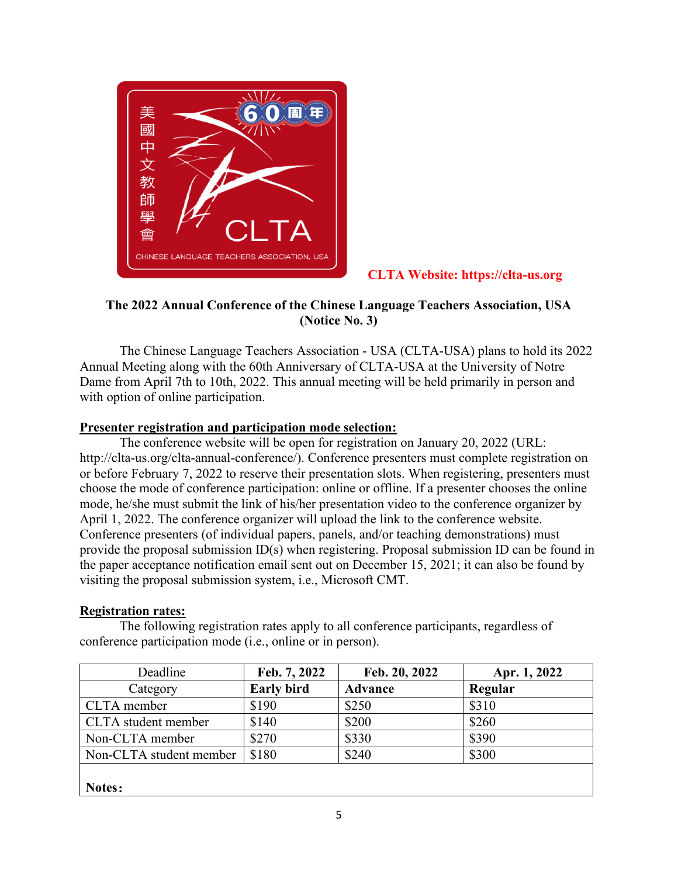

# **CLTA Website: https://clta-us.org**

# **The 2022 Annual Conference of the Chinese Language Teachers Association, USA (Notice No. 3)**

The Chinese Language Teachers Association - USA (CLTA-USA) plans to hold its 2022 Annual Meeting along with the 60th Anniversary of CLTA-USA at the University of Notre Dame from April 7th to 10th, 2022. This annual meeting will be held primarily in person and with option of online participation.

## **Presenter registration and participation mode selection:**

The conference website will be open for registration on January 20, 2022 (URL: http://clta-us.org/clta-annual-conference/). Conference presenters must complete registration on or before February 7, 2022 to reserve their presentation slots. When registering, presenters must choose the mode of conference participation: online or offline. If a presenter chooses the online mode, he/she must submit the link of his/her presentation video to the conference organizer by April 1, 2022. The conference organizer will upload the link to the conference website. Conference presenters (of individual papers, panels, and/or teaching demonstrations) must provide the proposal submission ID(s) when registering. Proposal submission ID can be found in the paper acceptance notification email sent out on December 15, 2021; it can also be found by visiting the proposal submission system, i.e., Microsoft CMT.

### **Registration rates:**

The following registration rates apply to all conference participants, regardless of conference participation mode (i.e., online or in person).

| Deadline                | Feb. 7, 2022      | Feb. 20, 2022  | Apr. 1, 2022 |
|-------------------------|-------------------|----------------|--------------|
| Category                | <b>Early bird</b> | <b>Advance</b> | Regular      |
| CLTA member             | \$190             | \$250          | \$310        |
| CLTA student member     | \$140             | \$200          | \$260        |
| Non-CLTA member         | \$270             | \$330          | \$390        |
| Non-CLTA student member | \$180             | \$240          | \$300        |
|                         |                   |                |              |
| Notes:                  |                   |                |              |